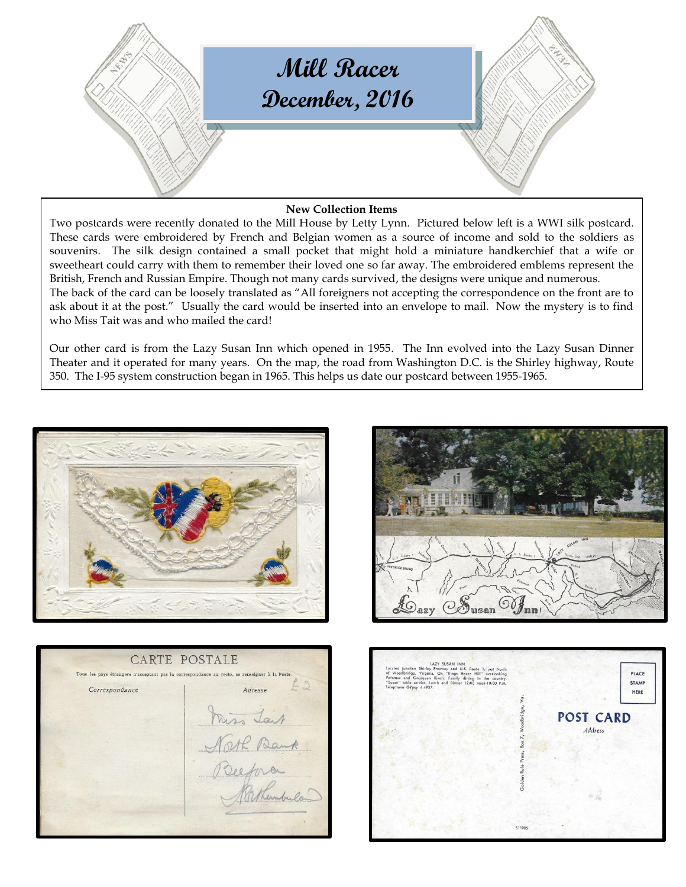

# **New Collection Items**

Two postcards were recently donated to the Mill House by Letty Lynn. Pictured below left is a WWI silk postcard. These cards were embroidered by French and Belgian women as a source of income and sold to the soldiers as souvenirs. The silk design contained a small pocket that might hold a miniature handkerchief that a wife or sweetheart could carry with them to remember their loved one so far away. The embroidered emblems represent the British, French and Russian Empire. Though not many cards survived, the designs were unique and numerous. The back of the card can be loosely translated as "All foreigners not accepting the correspondence on the front are to ask about it at the post." Usually the card would be inserted into an envelope to mail. Now the mystery is to find who Miss Tait was and who mailed the card!

Our other card is from the Lazy Susan Inn which opened in 1955. The Inn evolved into the Lazy Susan Dinner Theater and it operated for many years. On the map, the road from Washington D.C. is the Shirley highway, Route 350. The I-95 system construction began in 1965. This helps us date our postcard between 1955-1965.







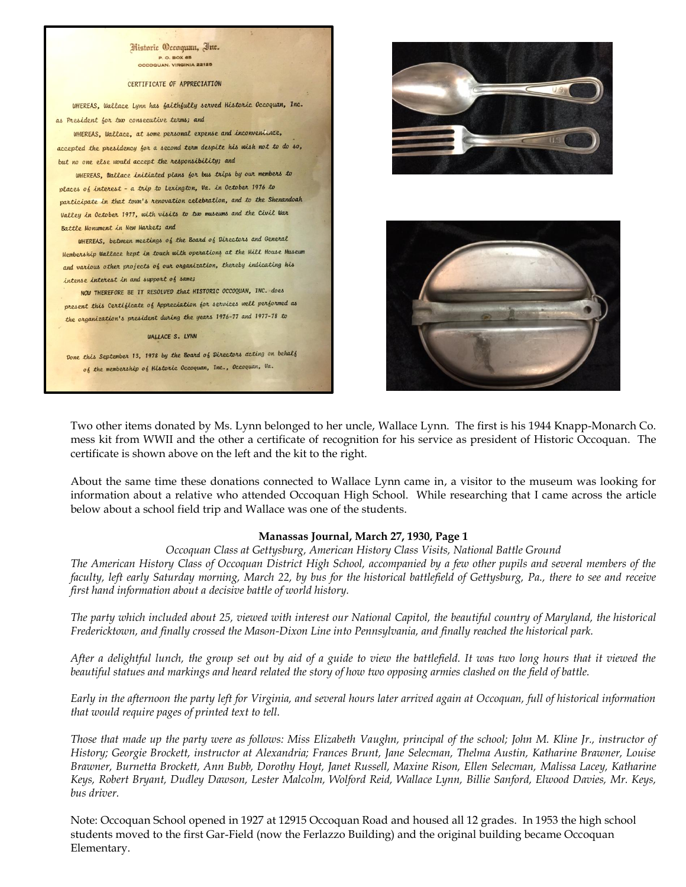![](_page_1_Picture_0.jpeg)

#### CERTIFICATE OF APPRECIATION

WHEREAS, Wallace Lynn has faithfully served Historic Occoquan, Inc. as President for two consecutive terms; and

WHEREAS, Wallace, at some personal expense and inconvenience, accepted the presidency for a second term despite his wish not to do so, but no one else would accept the responsibility; and

WHEREAS, Wallace initiated plans for bus trips by our members to places of interest - a trip to Lexington, Va. in October 1976 to participate in that town's renovation celebration, and to the Shenandoah Valley in October 1977, with visits to two museums and the Civil War Battle Monument in New Market; and

WHEREAS, between meetings of the Board of Directors and General Membership Wallace kept in touch with operations at the Mill House Museum and various other projects of our organization, thereby indicating his intense interest in and support of same;

NOW THEREFORE BE IT RESOLVED that HISTORIC OCCOQUAN, INC. does present this Certificate of Appreciation for services well performed as the organization's president during the years 1976-77 and 1977-78 to

WALLACE S. LYNN

Done this September 13, 1978 by the Board of Directors acting on behalf of the membership of Historic Occoquan, Inc., Occoquan, Va.

![](_page_1_Picture_9.jpeg)

![](_page_1_Picture_10.jpeg)

Two other items donated by Ms. Lynn belonged to her uncle, Wallace Lynn. The first is his 1944 Knapp-Monarch Co. mess kit from WWII and the other a certificate of recognition for his service as president of Historic Occoquan. The certificate is shown above on the left and the kit to the right.

About the same time these donations connected to Wallace Lynn came in, a visitor to the museum was looking for information about a relative who attended Occoquan High School. While researching that I came across the article below about a school field trip and Wallace was one of the students.

### **Manassas Journal, March 27, 1930, Page 1**

*Occoquan Class at Gettysburg, American History Class Visits, National Battle Ground*

*The American History Class of Occoquan District High School, accompanied by a few other pupils and several members of the faculty, left early Saturday morning, March 22, by bus for the historical battlefield of Gettysburg, Pa., there to see and receive first hand information about a decisive battle of world history.*

*The party which included about 25, viewed with interest our National Capitol, the beautiful country of Maryland, the historical Fredericktown, and finally crossed the Mason-Dixon Line into Pennsylvania, and finally reached the historical park.*

*After a delightful lunch, the group set out by aid of a guide to view the battlefield. It was two long hours that it viewed the beautiful statues and markings and heard related the story of how two opposing armies clashed on the field of battle.*

*Early in the afternoon the party left for Virginia, and several hours later arrived again at Occoquan, full of historical information that would require pages of printed text to tell.*

*Those that made up the party were as follows: Miss Elizabeth Vaughn, principal of the school; John M. Kline Jr., instructor of History; Georgie Brockett, instructor at Alexandria; Frances Brunt, Jane Selecman, Thelma Austin, Katharine Brawner, Louise Brawner, Burnetta Brockett, Ann Bubb, Dorothy Hoyt, Janet Russell, Maxine Rison, Ellen Selecman, Malissa Lacey, Katharine Keys, Robert Bryant, Dudley Dawson, Lester Malcolm, Wolford Reid, Wallace Lynn, Billie Sanford, Elwood Davies, Mr. Keys, bus driver.*

Note: Occoquan School opened in 1927 at 12915 Occoquan Road and housed all 12 grades. In 1953 the high school students moved to the first Gar-Field (now the Ferlazzo Building) and the original building became Occoquan Elementary.